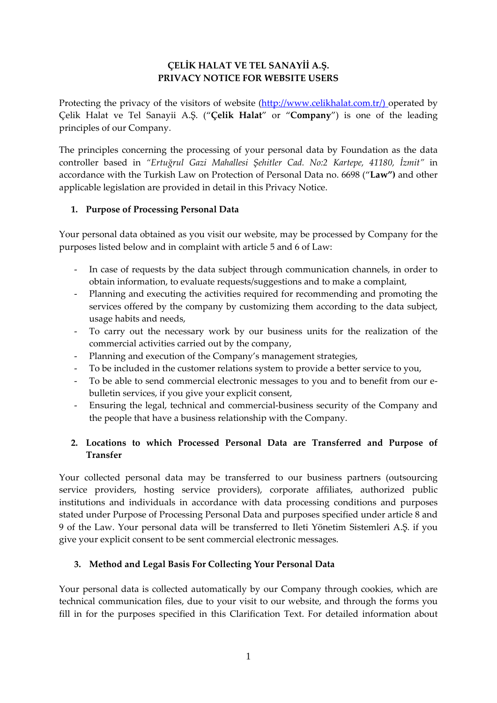# **ÇELİK HALAT VE TEL SANAYİİ A.Ş. PRIVACY NOTICE FOR WEBSITE USERS**

Protecting the privacy of the visitors of website [\(http://www.celikhalat.com.tr/\)](http://www.celikhalat.com.tr/) operated by Çelik Halat ve Tel Sanayii A.Ş. ("**Çelik Halat**" or "**Company**") is one of the leading principles of our Company.

The principles concerning the processing of your personal data by Foundation as the data controller based in *"Ertuğrul Gazi Mahallesi Şehitler Cad. No:2 Kartepe, 41180, İzmit"* in accordance with the Turkish Law on Protection of Personal Data no. 6698 ("**Law")** and other applicable legislation are provided in detail in this Privacy Notice.

### **1. Purpose of Processing Personal Data**

Your personal data obtained as you visit our website, may be processed by Company for the purposes listed below and in complaint with article 5 and 6 of Law:

- In case of requests by the data subject through communication channels, in order to obtain information, to evaluate requests/suggestions and to make a complaint,
- Planning and executing the activities required for recommending and promoting the services offered by the company by customizing them according to the data subject, usage habits and needs,
- To carry out the necessary work by our business units for the realization of the commercial activities carried out by the company,
- Planning and execution of the Company's management strategies,
- To be included in the customer relations system to provide a better service to you,
- To be able to send commercial electronic messages to you and to benefit from our ebulletin services, if you give your explicit consent,
- Ensuring the legal, technical and commercial-business security of the Company and the people that have a business relationship with the Company.

# **2. Locations to which Processed Personal Data are Transferred and Purpose of Transfer**

Your collected personal data may be transferred to our business partners (outsourcing service providers, hosting service providers), corporate affiliates, authorized public institutions and individuals in accordance with data processing conditions and purposes stated under Purpose of Processing Personal Data and purposes specified under article 8 and 9 of the Law. Your personal data will be transferred to Ileti Yönetim Sistemleri A.Ş. if you give your explicit consent to be sent commercial electronic messages.

### **3. Method and Legal Basis For Collecting Your Personal Data**

Your personal data is collected automatically by our Company through cookies, which are technical communication files, due to your visit to our website, and through the forms you fill in for the purposes specified in this Clarification Text. For detailed information about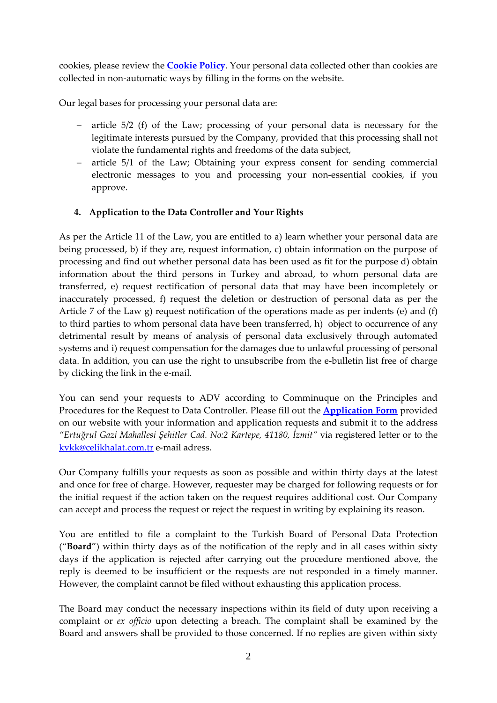cookies, please review the **Cookie Policy**. Your personal data collected other than cookies are collected in non-automatic ways by filling in the forms on the website.

Our legal bases for processing your personal data are:

- − article 5/2 (f) of the Law; processing of your personal data is necessary for the legitimate interests pursued by the Company, provided that this processing shall not violate the fundamental rights and freedoms of the data subject,
- − article 5/1 of the Law; Obtaining your express consent for sending commercial electronic messages to you and processing your non-essential cookies, if you approve.

# **4. Application to the Data Controller and Your Rights**

As per the Article 11 of the Law, you are entitled to a) learn whether your personal data are being processed, b) if they are, request information, c) obtain information on the purpose of processing and find out whether personal data has been used as fit for the purpose d) obtain information about the third persons in Turkey and abroad, to whom personal data are transferred, e) request rectification of personal data that may have been incompletely or inaccurately processed, f) request the deletion or destruction of personal data as per the Article 7 of the Law g) request notification of the operations made as per indents (e) and (f) to third parties to whom personal data have been transferred, h) object to occurrence of any detrimental result by means of analysis of personal data exclusively through automated systems and i) request compensation for the damages due to unlawful processing of personal data. In addition, you can use the right to unsubscribe from the e-bulletin list free of charge by clicking the link in the e-mail.

You can send your requests to ADV according to Comminuque on the Principles and Procedures for the Request to Data Controller. Please fill out the **Application Form** provided on our website with your information and application requests and submit it to the address *"Ertuğrul Gazi Mahallesi Şehitler Cad. No:2 Kartepe, 41180, İzmit"* via registered letter or to the [kvkk@celikhalat.com.tr](mailto:kvkk@celikhalat.com.tr) e-mail adress.

Our Company fulfills your requests as soon as possible and within thirty days at the latest and once for free of charge. However, requester may be charged for following requests or for the initial request if the action taken on the request requires additional cost. Our Company can accept and process the request or reject the request in writing by explaining its reason.

You are entitled to file a complaint to the Turkish Board of Personal Data Protection ("**Board**") within thirty days as of the notification of the reply and in all cases within sixty days if the application is rejected after carrying out the procedure mentioned above, the reply is deemed to be insufficient or the requests are not responded in a timely manner. However, the complaint cannot be filed without exhausting this application process.

The Board may conduct the necessary inspections within its field of duty upon receiving a complaint or *ex officio* upon detecting a breach. The complaint shall be examined by the Board and answers shall be provided to those concerned. If no replies are given within sixty